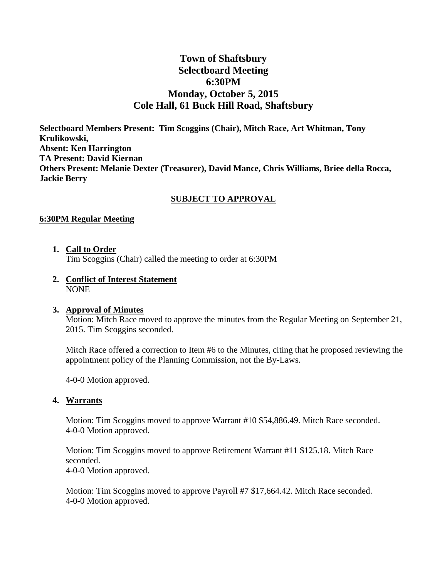# **Town of Shaftsbury Selectboard Meeting 6:30PM Monday, October 5, 2015 Cole Hall, 61 Buck Hill Road, Shaftsbury**

**Selectboard Members Present: Tim Scoggins (Chair), Mitch Race, Art Whitman, Tony Krulikowski, Absent: Ken Harrington TA Present: David Kiernan Others Present: Melanie Dexter (Treasurer), David Mance, Chris Williams, Briee della Rocca, Jackie Berry**

### **SUBJECT TO APPROVAL**

#### **6:30PM Regular Meeting**

**1. Call to Order**

Tim Scoggins (Chair) called the meeting to order at 6:30PM

**2. Conflict of Interest Statement** NONE

#### **3. Approval of Minutes**

Motion: Mitch Race moved to approve the minutes from the Regular Meeting on September 21, 2015. Tim Scoggins seconded.

Mitch Race offered a correction to Item #6 to the Minutes, citing that he proposed reviewing the appointment policy of the Planning Commission, not the By-Laws.

4-0-0 Motion approved.

#### **4. Warrants**

Motion: Tim Scoggins moved to approve Warrant #10 \$54,886.49. Mitch Race seconded. 4-0-0 Motion approved.

Motion: Tim Scoggins moved to approve Retirement Warrant #11 \$125.18. Mitch Race seconded. 4-0-0 Motion approved.

Motion: Tim Scoggins moved to approve Payroll #7 \$17,664.42. Mitch Race seconded. 4-0-0 Motion approved.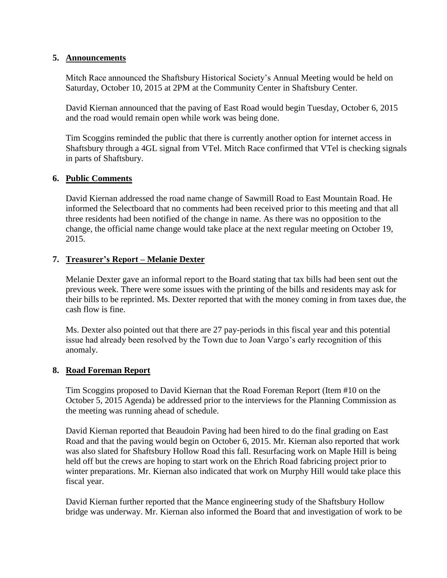### **5. Announcements**

Mitch Race announced the Shaftsbury Historical Society's Annual Meeting would be held on Saturday, October 10, 2015 at 2PM at the Community Center in Shaftsbury Center.

David Kiernan announced that the paving of East Road would begin Tuesday, October 6, 2015 and the road would remain open while work was being done.

Tim Scoggins reminded the public that there is currently another option for internet access in Shaftsbury through a 4GL signal from VTel. Mitch Race confirmed that VTel is checking signals in parts of Shaftsbury.

### **6. Public Comments**

David Kiernan addressed the road name change of Sawmill Road to East Mountain Road. He informed the Selectboard that no comments had been received prior to this meeting and that all three residents had been notified of the change in name. As there was no opposition to the change, the official name change would take place at the next regular meeting on October 19, 2015.

### **7. Treasurer's Report – Melanie Dexter**

Melanie Dexter gave an informal report to the Board stating that tax bills had been sent out the previous week. There were some issues with the printing of the bills and residents may ask for their bills to be reprinted. Ms. Dexter reported that with the money coming in from taxes due, the cash flow is fine.

Ms. Dexter also pointed out that there are 27 pay-periods in this fiscal year and this potential issue had already been resolved by the Town due to Joan Vargo's early recognition of this anomaly.

#### **8. Road Foreman Report**

Tim Scoggins proposed to David Kiernan that the Road Foreman Report (Item #10 on the October 5, 2015 Agenda) be addressed prior to the interviews for the Planning Commission as the meeting was running ahead of schedule.

David Kiernan reported that Beaudoin Paving had been hired to do the final grading on East Road and that the paving would begin on October 6, 2015. Mr. Kiernan also reported that work was also slated for Shaftsbury Hollow Road this fall. Resurfacing work on Maple Hill is being held off but the crews are hoping to start work on the Ehrich Road fabricing project prior to winter preparations. Mr. Kiernan also indicated that work on Murphy Hill would take place this fiscal year.

David Kiernan further reported that the Mance engineering study of the Shaftsbury Hollow bridge was underway. Mr. Kiernan also informed the Board that and investigation of work to be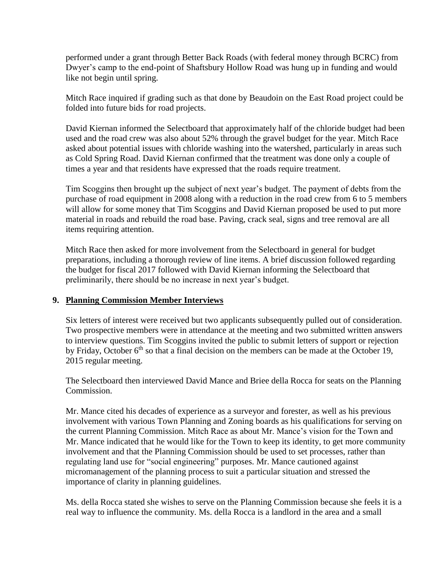performed under a grant through Better Back Roads (with federal money through BCRC) from Dwyer's camp to the end-point of Shaftsbury Hollow Road was hung up in funding and would like not begin until spring.

Mitch Race inquired if grading such as that done by Beaudoin on the East Road project could be folded into future bids for road projects.

David Kiernan informed the Selectboard that approximately half of the chloride budget had been used and the road crew was also about 52% through the gravel budget for the year. Mitch Race asked about potential issues with chloride washing into the watershed, particularly in areas such as Cold Spring Road. David Kiernan confirmed that the treatment was done only a couple of times a year and that residents have expressed that the roads require treatment.

Tim Scoggins then brought up the subject of next year's budget. The payment of debts from the purchase of road equipment in 2008 along with a reduction in the road crew from 6 to 5 members will allow for some money that Tim Scoggins and David Kiernan proposed be used to put more material in roads and rebuild the road base. Paving, crack seal, signs and tree removal are all items requiring attention.

Mitch Race then asked for more involvement from the Selectboard in general for budget preparations, including a thorough review of line items. A brief discussion followed regarding the budget for fiscal 2017 followed with David Kiernan informing the Selectboard that preliminarily, there should be no increase in next year's budget.

### **9. Planning Commission Member Interviews**

Six letters of interest were received but two applicants subsequently pulled out of consideration. Two prospective members were in attendance at the meeting and two submitted written answers to interview questions. Tim Scoggins invited the public to submit letters of support or rejection by Friday, October  $6<sup>th</sup>$  so that a final decision on the members can be made at the October 19, 2015 regular meeting.

The Selectboard then interviewed David Mance and Briee della Rocca for seats on the Planning Commission.

Mr. Mance cited his decades of experience as a surveyor and forester, as well as his previous involvement with various Town Planning and Zoning boards as his qualifications for serving on the current Planning Commission. Mitch Race as about Mr. Mance's vision for the Town and Mr. Mance indicated that he would like for the Town to keep its identity, to get more community involvement and that the Planning Commission should be used to set processes, rather than regulating land use for "social engineering" purposes. Mr. Mance cautioned against micromanagement of the planning process to suit a particular situation and stressed the importance of clarity in planning guidelines.

Ms. della Rocca stated she wishes to serve on the Planning Commission because she feels it is a real way to influence the community. Ms. della Rocca is a landlord in the area and a small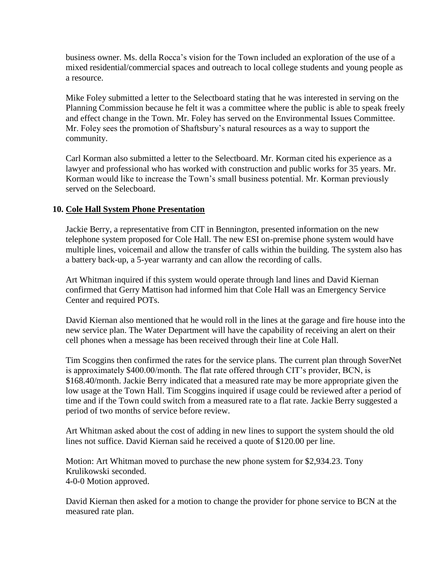business owner. Ms. della Rocca's vision for the Town included an exploration of the use of a mixed residential/commercial spaces and outreach to local college students and young people as a resource.

Mike Foley submitted a letter to the Selectboard stating that he was interested in serving on the Planning Commission because he felt it was a committee where the public is able to speak freely and effect change in the Town. Mr. Foley has served on the Environmental Issues Committee. Mr. Foley sees the promotion of Shaftsbury's natural resources as a way to support the community.

Carl Korman also submitted a letter to the Selectboard. Mr. Korman cited his experience as a lawyer and professional who has worked with construction and public works for 35 years. Mr. Korman would like to increase the Town's small business potential. Mr. Korman previously served on the Selecboard.

### **10. Cole Hall System Phone Presentation**

Jackie Berry, a representative from CIT in Bennington, presented information on the new telephone system proposed for Cole Hall. The new ESI on-premise phone system would have multiple lines, voicemail and allow the transfer of calls within the building. The system also has a battery back-up, a 5-year warranty and can allow the recording of calls.

Art Whitman inquired if this system would operate through land lines and David Kiernan confirmed that Gerry Mattison had informed him that Cole Hall was an Emergency Service Center and required POTs.

David Kiernan also mentioned that he would roll in the lines at the garage and fire house into the new service plan. The Water Department will have the capability of receiving an alert on their cell phones when a message has been received through their line at Cole Hall.

Tim Scoggins then confirmed the rates for the service plans. The current plan through SoverNet is approximately \$400.00/month. The flat rate offered through CIT's provider, BCN, is \$168.40/month. Jackie Berry indicated that a measured rate may be more appropriate given the low usage at the Town Hall. Tim Scoggins inquired if usage could be reviewed after a period of time and if the Town could switch from a measured rate to a flat rate. Jackie Berry suggested a period of two months of service before review.

Art Whitman asked about the cost of adding in new lines to support the system should the old lines not suffice. David Kiernan said he received a quote of \$120.00 per line.

Motion: Art Whitman moved to purchase the new phone system for \$2,934.23. Tony Krulikowski seconded. 4-0-0 Motion approved.

David Kiernan then asked for a motion to change the provider for phone service to BCN at the measured rate plan.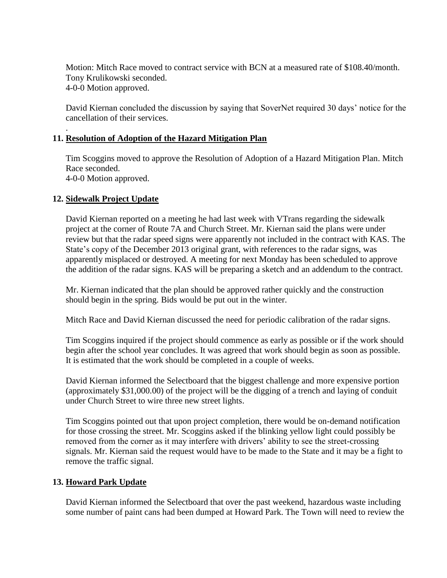Motion: Mitch Race moved to contract service with BCN at a measured rate of \$108.40/month. Tony Krulikowski seconded. 4-0-0 Motion approved.

David Kiernan concluded the discussion by saying that SoverNet required 30 days' notice for the cancellation of their services.

### **11. Resolution of Adoption of the Hazard Mitigation Plan**

Tim Scoggins moved to approve the Resolution of Adoption of a Hazard Mitigation Plan. Mitch Race seconded. 4-0-0 Motion approved.

### **12. Sidewalk Project Update**

.

David Kiernan reported on a meeting he had last week with VTrans regarding the sidewalk project at the corner of Route 7A and Church Street. Mr. Kiernan said the plans were under review but that the radar speed signs were apparently not included in the contract with KAS. The State's copy of the December 2013 original grant, with references to the radar signs, was apparently misplaced or destroyed. A meeting for next Monday has been scheduled to approve the addition of the radar signs. KAS will be preparing a sketch and an addendum to the contract.

Mr. Kiernan indicated that the plan should be approved rather quickly and the construction should begin in the spring. Bids would be put out in the winter.

Mitch Race and David Kiernan discussed the need for periodic calibration of the radar signs.

Tim Scoggins inquired if the project should commence as early as possible or if the work should begin after the school year concludes. It was agreed that work should begin as soon as possible. It is estimated that the work should be completed in a couple of weeks.

David Kiernan informed the Selectboard that the biggest challenge and more expensive portion (approximately \$31,000.00) of the project will be the digging of a trench and laying of conduit under Church Street to wire three new street lights.

Tim Scoggins pointed out that upon project completion, there would be on-demand notification for those crossing the street. Mr. Scoggins asked if the blinking yellow light could possibly be removed from the corner as it may interfere with drivers' ability to see the street-crossing signals. Mr. Kiernan said the request would have to be made to the State and it may be a fight to remove the traffic signal.

#### **13. Howard Park Update**

David Kiernan informed the Selectboard that over the past weekend, hazardous waste including some number of paint cans had been dumped at Howard Park. The Town will need to review the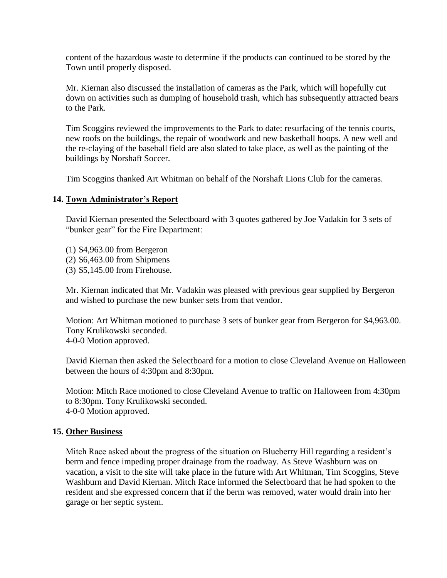content of the hazardous waste to determine if the products can continued to be stored by the Town until properly disposed.

Mr. Kiernan also discussed the installation of cameras as the Park, which will hopefully cut down on activities such as dumping of household trash, which has subsequently attracted bears to the Park.

Tim Scoggins reviewed the improvements to the Park to date: resurfacing of the tennis courts, new roofs on the buildings, the repair of woodwork and new basketball hoops. A new well and the re-claying of the baseball field are also slated to take place, as well as the painting of the buildings by Norshaft Soccer.

Tim Scoggins thanked Art Whitman on behalf of the Norshaft Lions Club for the cameras.

### **14. Town Administrator's Report**

David Kiernan presented the Selectboard with 3 quotes gathered by Joe Vadakin for 3 sets of "bunker gear" for the Fire Department:

- (1) \$4,963.00 from Bergeron
- (2) \$6,463.00 from Shipmens
- (3) \$5,145.00 from Firehouse.

Mr. Kiernan indicated that Mr. Vadakin was pleased with previous gear supplied by Bergeron and wished to purchase the new bunker sets from that vendor.

Motion: Art Whitman motioned to purchase 3 sets of bunker gear from Bergeron for \$4,963.00. Tony Krulikowski seconded. 4-0-0 Motion approved.

David Kiernan then asked the Selectboard for a motion to close Cleveland Avenue on Halloween between the hours of 4:30pm and 8:30pm.

Motion: Mitch Race motioned to close Cleveland Avenue to traffic on Halloween from 4:30pm to 8:30pm. Tony Krulikowski seconded. 4-0-0 Motion approved.

#### **15. Other Business**

Mitch Race asked about the progress of the situation on Blueberry Hill regarding a resident's berm and fence impeding proper drainage from the roadway. As Steve Washburn was on vacation, a visit to the site will take place in the future with Art Whitman, Tim Scoggins, Steve Washburn and David Kiernan. Mitch Race informed the Selectboard that he had spoken to the resident and she expressed concern that if the berm was removed, water would drain into her garage or her septic system.